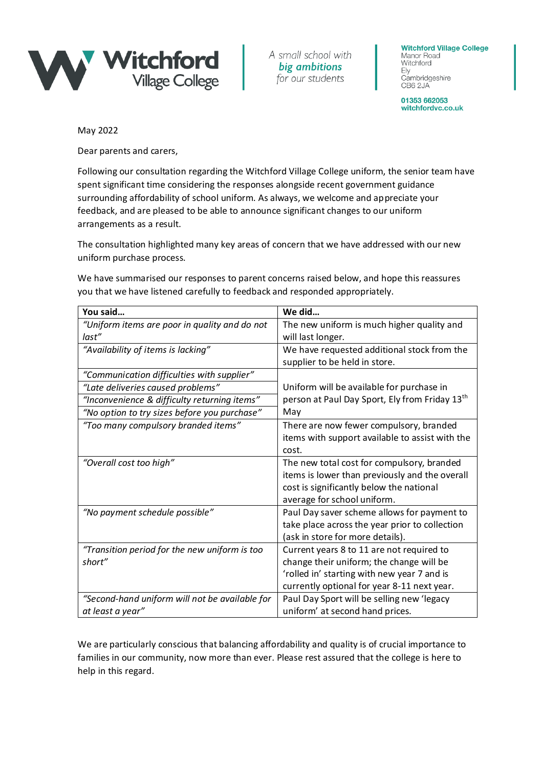

A small school with big ambitions for our students

**Witchford Village College** Manor Road Witchford Ely Cambridgeshire CB6 2JA

01353 662053 witchfordvc.co.uk

May 2022

Dear parents and carers,

Following our consultation regarding the Witchford Village College uniform, the senior team have spent significant time considering the responses alongside recent government guidance surrounding affordability of school uniform. As always, we welcome and appreciate your feedback, and are pleased to be able to announce significant changes to our uniform arrangements as a result.

The consultation highlighted many key areas of concern that we have addressed with our new uniform purchase process.

We have summarised our responses to parent concerns raised below, and hope this reassures you that we have listened carefully to feedback and responded appropriately.

| You said                                               | We did                                                                       |
|--------------------------------------------------------|------------------------------------------------------------------------------|
| "Uniform items are poor in quality and do not<br>last" | The new uniform is much higher quality and<br>will last longer.              |
| "Availability of items is lacking"                     | We have requested additional stock from the<br>supplier to be held in store. |
| "Communication difficulties with supplier"             |                                                                              |
| "Late deliveries caused problems"                      | Uniform will be available for purchase in                                    |
| "Inconvenience & difficulty returning items"           | person at Paul Day Sport, Ely from Friday 13 <sup>th</sup>                   |
| "No option to try sizes before you purchase"           | May                                                                          |
| "Too many compulsory branded items"                    | There are now fewer compulsory, branded                                      |
|                                                        | items with support available to assist with the                              |
|                                                        | cost.                                                                        |
| "Overall cost too high"                                | The new total cost for compulsory, branded                                   |
|                                                        | items is lower than previously and the overall                               |
|                                                        | cost is significantly below the national                                     |
|                                                        | average for school uniform.                                                  |
| "No payment schedule possible"                         | Paul Day saver scheme allows for payment to                                  |
|                                                        | take place across the year prior to collection                               |
|                                                        | (ask in store for more details).                                             |
| "Transition period for the new uniform is too          | Current years 8 to 11 are not required to                                    |
| short"                                                 | change their uniform; the change will be                                     |
|                                                        | 'rolled in' starting with new year 7 and is                                  |
|                                                        | currently optional for year 8-11 next year.                                  |
| "Second-hand uniform will not be available for         | Paul Day Sport will be selling new 'legacy                                   |
| at least a year"                                       | uniform' at second hand prices.                                              |

We are particularly conscious that balancing affordability and quality is of crucial importance to families in our community, now more than ever. Please rest assured that the college is here to help in this regard.